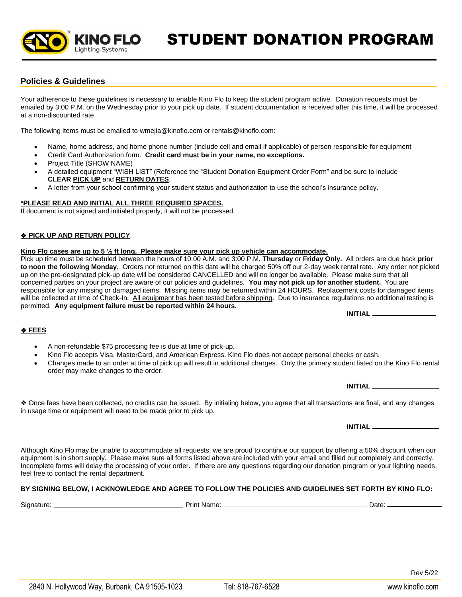STUDENT DONATION PROGRAM

# **Policies & Guidelines**

Your adherence to these guidelines is necessary to enable Kino Flo to keep the student program active. Donation requests must be emailed by 3:00 P.M. on the Wednesday prior to your pick up date. If student documentation is received after this time, it will be processed at a non-discounted rate.

The following items must be emailed to wmejia@kinoflo.com or rentals@kinoflo.com:

- Name, home address, and home phone number (include cell and email if applicable) of person responsible for equipment
- Credit Card Authorization form. **Credit card must be in your name, no exceptions.**
- Project Title (SHOW NAME)
- A detailed equipment "WISH LIST" (Reference the "Student Donation Equipment Order Form" and be sure to include **CLEAR PICK UP** and **RETURN DATES**.
- A letter from your school confirming your student status and authorization to use the school's insurance policy.

## **\*PLEASE READ AND INITIAL ALL THREE REQUIRED SPACES.**

KINO FLO **Lighting Systems** 

If document is not signed and initialed properly, it will not be processed.

## ❖ **PICK UP AND RETURN POLICY**

### **Kino Flo cases are up to 5 ½ ft long. Please make sure your pick up vehicle can accommodate.**

Pick up time must be scheduled between the hours of 10:00 A.M. and 3:00 P.M. **Thursday** or **Friday Only.** All orders are due back **prior to noon the following Monday.** Orders not returned on this date will be charged 50% off our 2-day week rental rate. Any order not picked up on the pre-designated pick-up date will be considered CANCELLED and will no longer be available. Please make sure that all concerned parties on your project are aware of our policies and guidelines. **You may not pick up for another student.** You are responsible for any missing or damaged items. Missing items may be returned within 24 HOURS. Replacement costs for damaged items will be collected at time of Check-In. All equipment has been tested before shipping. Due to insurance regulations no additional testing is permitted. **Any equipment failure must be reported within 24 hours.** 

**INITIAL**

**INITIAL**

**INITIAL**

### ❖ **FEES**

- A non-refundable \$75 processing fee is due at time of pick-up.
- Kino Flo accepts Visa, MasterCard, and American Express. Kino Flo does not accept personal checks or cash.
- Changes made to an order at time of pick up will result in additional charges. Only the primary student listed on the Kino Flo rental order may make changes to the order.

❖ Once fees have been collected, no credits can be issued. By initialing below, you agree that all transactions are final, and any changes in usage time or equipment will need to be made prior to pick up.

Although Kino Flo may be unable to accommodate all requests, we are proud to continue our support by offering a 50% discount when our equipment is in short supply. Please make sure all forms listed above are included with your email and filled out completely and correctly. Incomplete forms will delay the processing of your order. If there are any questions regarding our donation program or your lighting needs, feel free to contact the rental department.

## **BY SIGNING BELOW, I ACKNOWLEDGE AND AGREE TO FOLLOW THE POLICIES AND GUIDELINES SET FORTH BY KINO FLO:**

Signature: Print Name: Date:

Rev 5/22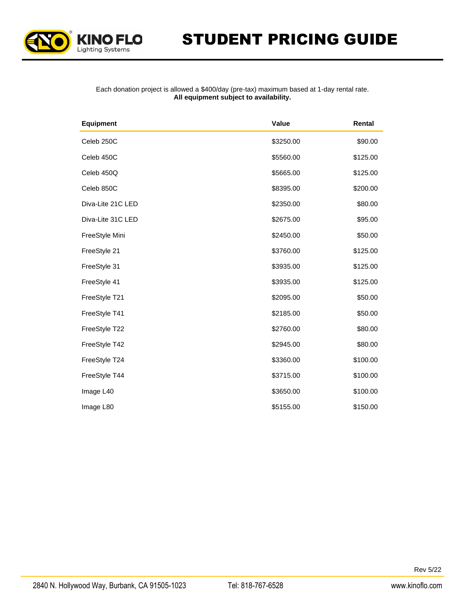

#### Each donation project is allowed a \$400/day (pre‐tax) maximum based at 1-day rental rate. **All equipment subject to availability.**

| <b>Equipment</b>  | Value     | Rental   |
|-------------------|-----------|----------|
| Celeb 250C        | \$3250.00 | \$90.00  |
| Celeb 450C        | \$5560.00 | \$125.00 |
| Celeb 450Q        | \$5665.00 | \$125.00 |
| Celeb 850C        | \$8395.00 | \$200.00 |
| Diva-Lite 21C LED | \$2350.00 | \$80.00  |
| Diva-Lite 31C LED | \$2675.00 | \$95.00  |
| FreeStyle Mini    | \$2450.00 | \$50.00  |
| FreeStyle 21      | \$3760.00 | \$125.00 |
| FreeStyle 31      | \$3935.00 | \$125.00 |
| FreeStyle 41      | \$3935.00 | \$125.00 |
| FreeStyle T21     | \$2095.00 | \$50.00  |
| FreeStyle T41     | \$2185.00 | \$50.00  |
| FreeStyle T22     | \$2760.00 | \$80.00  |
| FreeStyle T42     | \$2945.00 | \$80.00  |
| FreeStyle T24     | \$3360.00 | \$100.00 |
| FreeStyle T44     | \$3715.00 | \$100.00 |
| Image L40         | \$3650.00 | \$100.00 |
| Image L80         | \$5155.00 | \$150.00 |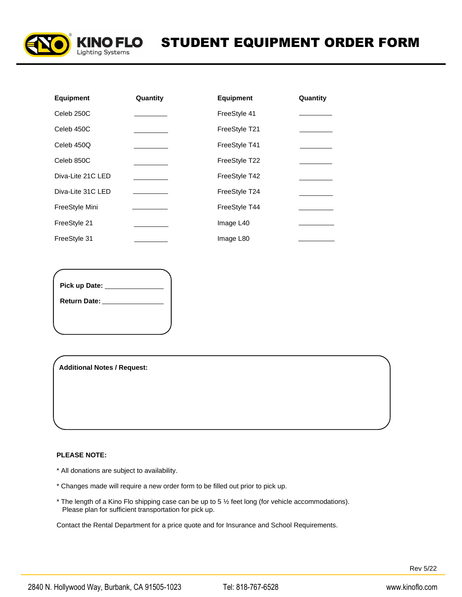

| <b>Equipment</b>  | Quantity | <b>Equipment</b> | Quantity |
|-------------------|----------|------------------|----------|
| Celeb 250C        |          | FreeStyle 41     |          |
| Celeb 450C        |          | FreeStyle T21    |          |
| Celeb 450Q        |          | FreeStyle T41    |          |
| Celeb 850C        |          | FreeStyle T22    |          |
| Diva-Lite 21C LED |          | FreeStyle T42    |          |
| Diva-Lite 31C LED |          | FreeStyle T24    |          |
| FreeStyle Mini    |          | FreeStyle T44    |          |
| FreeStyle 21      |          | Image L40        |          |
| FreeStyle 31      |          | Image L80        |          |

**Pick up Date: Return Date:**

**Additional Notes / Request:**

#### **PLEASE NOTE:**

- \* All donations are subject to availability.
- \* Changes made will require a new order form to be filled out prior to pick up.
- \* The length of a Kino Flo shipping case can be up to 5 ½ feet long (for vehicle accommodations). Please plan for sufficient transportation for pick up.

Contact the Rental Department for a price quote and for Insurance and School Requirements.